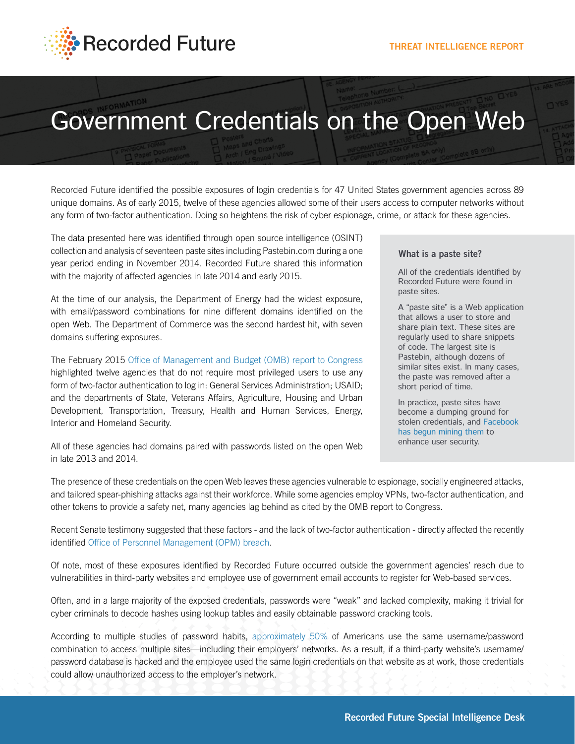

# Government Credentials on the Open Web

Recorded Future identified the possible exposures of login credentials for 47 United States government agencies across 89 unique domains. As of early 2015, twelve of these agencies allowed some of their users access to computer networks without any form of two-factor authentication. Doing so heightens the risk of cyber espionage, crime, or attack for these agencies.

The data presented here was identified through open source intelligence (OSINT) collection and analysis of seventeen paste sites including Pastebin.com during a one year period ending in November 2014. Recorded Future shared this information with the majority of affected agencies in late 2014 and early 2015.

At the time of our analysis, the Department of Energy had the widest exposure, with email/password combinations for nine different domains identified on the open Web. The Department of Commerce was the second hardest hit, with seven domains suffering exposures.

The February 2015 [Office of Management and Budget \(OMB\) report to Congress](https://www.whitehouse.gov/sites/default/files/omb/assets/egov_docs/final_fy14_fisma_report_02_27_2015.pdf) highlighted twelve agencies that do not require most privileged users to use any form of two-factor authentication to log in: General Services Administration; USAID; and the departments of State, Veterans Affairs, Agriculture, Housing and Urban Development, Transportation, Treasury, Health and Human Services, Energy, Interior and Homeland Security.

All of these agencies had domains paired with passwords listed on the open Web in late 2013 and 2014.

#### **What is a paste site?**

All of the credentials identified by Recorded Future were found in paste sites.

A "paste site" is a Web application that allows a user to store and share plain text. These sites are regularly used to share snippets of code. The largest site is Pastebin, although dozens of similar sites exist. In many cases, the paste was removed after a short period of time.

In practice, paste sites have become a dumping ground for stolen credentials, and [Facebook](http://www.forbes.com/sites/amitchowdhry/2014/10/22/how-facebook-finds-out-if-your-passwords-were-stolen/)  [has begun mining them](http://www.forbes.com/sites/amitchowdhry/2014/10/22/how-facebook-finds-out-if-your-passwords-were-stolen/) to enhance user security.

The presence of these credentials on the open Web leaves these agencies vulnerable to espionage, socially engineered attacks, and tailored spear-phishing attacks against their workforce. While some agencies employ VPNs, two-factor authentication, and other tokens to provide a safety net, many agencies lag behind as cited by the OMB report to Congress.

Recent Senate testimony suggested that these factors - and the lack of two-factor authentication - directly affected the recently identified [Office of Personnel Management \(OPM\) breach](http://arstechnica.com/security/2015/06/encryption-would-not-have-helped-at-opm-says-dhs-official/).

Of note, most of these exposures identified by Recorded Future occurred outside the government agencies' reach due to vulnerabilities in third-party websites and employee use of government email accounts to register for Web-based services.

Often, and in a large majority of the exposed credentials, passwords were "weak" and lacked complexity, making it trivial for cyber criminals to decode hashes using lookup tables and easily obtainable password cracking tools.

According to multiple studies of password habits, [approximately 50%](https://nakedsecurity.sophos.com/2013/04/23/users-same-password-most-websites/) of Americans use the same username/password combination to access multiple sites—including their employers' networks. As a result, if a third-party website's username/ password database is hacked and the employee used the same login credentials on that website as at work, those credentials could allow unauthorized access to the employer's network.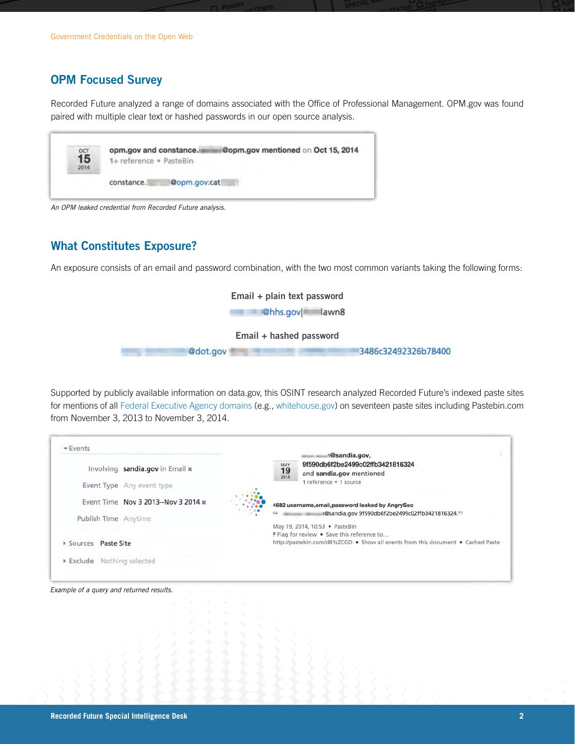## **OPM Focused Survey**

Recorded Future analyzed a range of domains associated with the Office of Professional Management. OPM.gov was found paired with multiple clear text or hashed passwords in our open source analysis.



*An OPM leaked credential from Recorded Future analysis.*

#### **What Constitutes Exposure?**

An exposure consists of an email and password combination, with the two most common variants taking the following forms:



Supported by publicly available information on data.gov, this OSINT research analyzed Recorded Future's indexed paste sites for mentions of all [Federal Executive Agency domains](https://inventory.data.gov/dataset/federal-executive-agency-internet-domains-as-of-06172014/resource/b626ef1f-9019-41c4-91aa-5ae3f7457328) (e.g., [whitehouse.gov](http://whitehouse.gov)) on seventeen paste sites including Pastebin.com from November 3, 2013 to November 3, 2014.

| $=$ Events<br>Involving sandia.gov in Email x<br>Event Type Any event type | 1<br>n@sandia.gov,<br>9f590db6f2be2499c02ffb3421816324<br>$19 \atop 2014$<br>and sandia.gov mentioned<br>1 reference . 1 source                                                             |
|----------------------------------------------------------------------------|---------------------------------------------------------------------------------------------------------------------------------------------------------------------------------------------|
| Event Time Nov 3 2013--Nov 3 2014 x<br>Publish Time Anytime                | 4682 username, email, password leaked by AngrySec<br>n@sandia.gov 9f590db6f2be2499c02ffb3421816324.99<br>66<br>May 19, 2014, 10:53 · PasteBin<br>F Flag for review . Save this reference to |
| Paste Site<br>Sources<br>Exclude Nothing selected                          | http://pastebin.com/d81sZCGD · Show all events from this document · Cached Paste                                                                                                            |

*Example of a query and returned results.*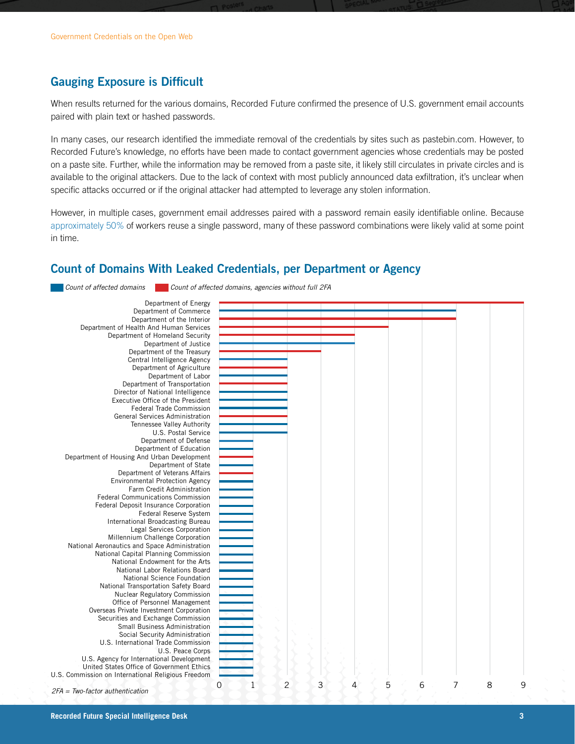### **Gauging Exposure is Difficult**

When results returned for the various domains, Recorded Future confirmed the presence of U.S. government email accounts paired with plain text or hashed passwords.

In many cases, our research identified the immediate removal of the credentials by sites such as pastebin.com. However, to Recorded Future's knowledge, no efforts have been made to contact government agencies whose credentials may be posted on a paste site. Further, while the information may be removed from a paste site, it likely still circulates in private circles and is available to the original attackers. Due to the lack of context with most publicly announced data exfiltration, it's unclear when specific attacks occurred or if the original attacker had attempted to leverage any stolen information.

However, in multiple cases, government email addresses paired with a password remain easily identifiable online. Because [approximately 50%](https://nakedsecurity.sophos.com/2013/04/23/users-same-password-most-websites/) of workers reuse a single password, many of these password combinations were likely valid at some point in time.

#### **Count of Domains With Leaked Credentials, per Department or Agency**

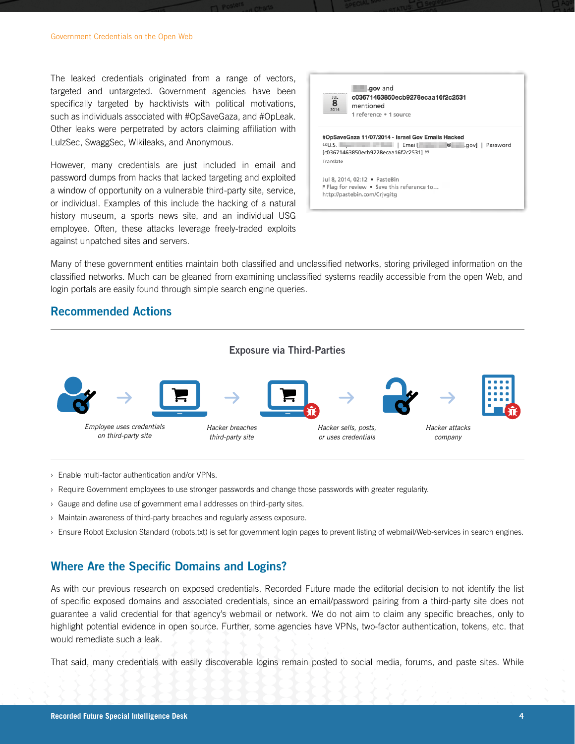The leaked credentials originated from a range of vectors, targeted and untargeted. Government agencies have been specifically targeted by hacktivists with political motivations, such as individuals associated with #OpSaveGaza, and #OpLeak. Other leaks were perpetrated by actors claiming affiliation with LulzSec, SwaggSec, Wikileaks, and Anonymous.

However, many credentials are just included in email and password dumps from hacks that lacked targeting and exploited a window of opportunity on a vulnerable third-party site, service, or individual. Examples of this include the hacking of a natural history museum, a sports news site, and an individual USG employee. Often, these attacks leverage freely-traded exploits against unpatched sites and servers.



Many of these government entities maintain both classified and unclassified networks, storing privileged information on the classified networks. Much can be gleaned from examining unclassified systems readily accessible from the open Web, and login portals are easily found through simple search engine queries.

#### **Recommended Actions**



- › Enable multi-factor authentication and/or VPNs.
- › Require Government employees to use stronger passwords and change those passwords with greater regularity.
- › Gauge and define use of government email addresses on third-party sites.
- › Maintain awareness of third-party breaches and regularly assess exposure.
- › Ensure Robot Exclusion Standard (robots.txt) is set for government login pages to prevent listing of webmail/Web-services in search engines.

#### **Where Are the Specific Domains and Logins?**

As with our previous research on exposed credentials, Recorded Future made the editorial decision to not identify the list of specific exposed domains and associated credentials, since an email/password pairing from a third-party site does not guarantee a valid credential for that agency's webmail or network. We do not aim to claim any specific breaches, only to highlight potential evidence in open source. Further, some agencies have VPNs, two-factor authentication, tokens, etc. that would remediate such a leak.

That said, many credentials with easily discoverable logins remain posted to social media, forums, and paste sites. While